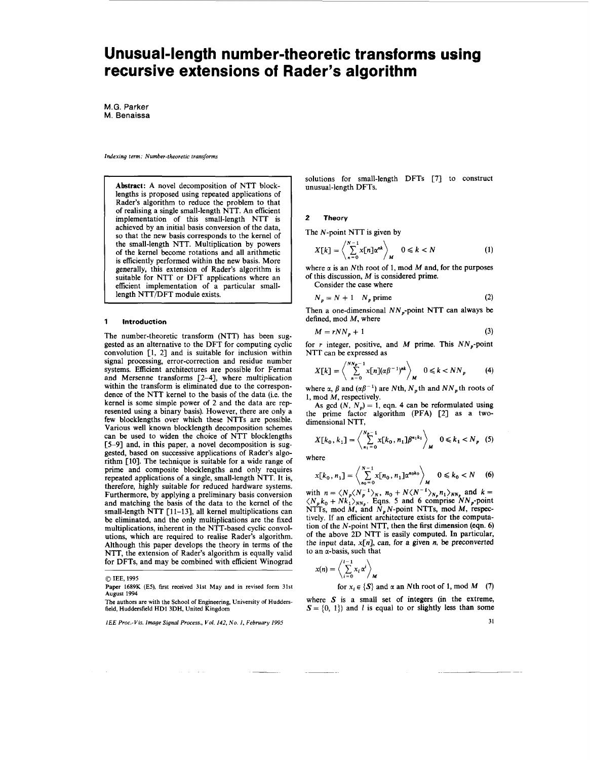# <span id="page-0-0"></span>Unusual-length number-theoretic transforms using **recursive extensions of F tader's algorithm**

M.G. **Parker**  M. **Benaissa** 

*Indexing term: Number-theoretic transforms* 

Abstract: A novel decomposition of NTT blocklengths is proposed using repeated applications of Rader's algorithm to reduce the problem to that of realising a single small-length NTT. An efficient implementation of this small-length NTT is achieved by an initial basis conversion of the data, so that the new basis corresponds to the kernel of the small-length NTT. Multiplication by powers of the kernel become rotations and all arithmetic is efficiently performed within the new basis. More generally, this extension of Rader's algorithm is suitable for NTT or DFT applications where an efficient implementation of a particular smalllength NTT/DFT module exists.

#### **1 Introduction**

The number-theoretic transform (NTT) has been suggested as an alternative to the DFT for computing cyclic convolution **[l,** *21* and is suitable for inclusion within signal processing, error-correction and residue number systems. Efficient architectures are possible for Fermat and Mersenne transforms *[2-41,* where multiplication within the transform is eliminated due to the correspondence of the NTT kernel to the basis of the data (i.e. the kernel is some simple power of 2 and the data are represented using a binary basis). However, there are only a few blocklengths over which these NTTs are possible. Various well known blocklength decomposition schemes can be used to widen the choice of NTT blocklengths *[5-91* and, in this paper, a novel decomposition is suggested, based on successive applications of Rader's algorithm *[lo].* The technique is suitable for a wide range of prime and composite blocklengths and only requires repeated applications of a single, small-length NTT. It is, therefore, highly suitable for reduced hardware systems. Furthermore, by applying a preliminary basis conversion and matching the basis of the data to the kernel of the small-length NTT [ *1 1-13],* all kernel multiplications can be eliminated, and the only multiplications are the fixed multiplications, inherent in the NTT-based cyclic convolutions, which are required to realise Rader's algorithm. Although this paper develops the theory in terms of the NTT, the extension of Rader's algorithm is equally valid for DFTs, and may be combined with efficient Winograd

*0* **IEE, 1995** 

**Paper 1689K (E5),** first **received 31st May and in revised form 31st August 1994** 

solutions for small-length DFTs [7] to construct unusual-length DFTs.

## *2* **Theory**

The N-point NTT is given by

$$
X[k] = \left\langle \sum_{n=0}^{N-1} x[n] \alpha^{nk} \right\rangle_M \quad 0 \le k < N \tag{1}
$$

where  $\alpha$  is an Nth root of 1, mod  $M$  and, for the purposes of this discussion, *M* **is** considered prime. Consider the case where

$$
N_p = N + 1 \quad N_p \text{ prime} \tag{2}
$$

Then a one-dimensional  $NN_p$ -point NTT can always be defined, mod *M,* where

$$
M = rNN_p + 1 \tag{3}
$$

for r integer, positive, and *M* prime. This  $NN_p$ -point NTT can be expressed as

$$
X[k] = \left\langle \sum_{n=0}^{NN_p-1} x[n](\alpha \beta^{-1})^{nk} \right\rangle_M \quad 0 \leq k < NN_p \tag{4}
$$

where  $\alpha$ ,  $\beta$  and  $(\alpha \beta^{-1})$  are Nth,  $N_p$  th and  $NN_p$  th roots of 1, mod M, respectively.

As gcd  $(N, N_p) = 1$ , eqn. 4 can be reformulated using the prime factor algorithm (PFA) *[2]* as a twodimensional NTT,

$$
X[k_0, k_1] = \left\langle \sum_{n_1=0}^{N_p-1} x[k_0, n_1] \beta^{n_1 k_1} \right\rangle_M \quad 0 \le k_1 < N_p \quad (5)
$$

where

$$
x[k_0, n_1] = \left\langle \sum_{n_0=0}^{N-1} x[n_0, n_1] \alpha^{n_0 k_0} \right\rangle_M \quad 0 \leq k_0 < N \quad (6)
$$

with  $n = \langle N_p \langle N_p^{-1} \rangle_N$ ,  $n_0 + N \langle N^{-1} \rangle_{N_p} n_1 \rangle_{NN_p}$  and  $k =$  $\langle N_p k_0 + Nk_1 \rangle_{NN_p}$ . Eqns. 5 and 6 comprise  $NN_p$ -point NTTs, mod *M*, and *N<sub>p</sub>N*-point NTTs, mod *M*, respectively. If an efficient architecture exists for the computation of the N-point NTT, then the first dimension (eqn. 6) of the above 2D NTT is easily computed. In particular, the input data,  $x[n]$ , can, for a given *n*, be preconverted to an a-basis, such that

$$
x(n) = \left\langle \sum_{i=0}^{i-1} x_i \alpha^i \right\rangle_M
$$

for  $x_i \in \{S\}$  and  $\alpha$  an Nth root of 1, mod M (7)

where *S* is a small set of integers (in the extreme,  $S = \{0, 1\}$  and *l* is equal to or slightly less than some

**31** 

**The authors are with the School of Engineering, University of Huddersfield, Huddersfield HD1 3DH, United Kingdom** 

*IEE Proc.-Vis. Image Signal Process., Vol. 142, No. I, February 1995*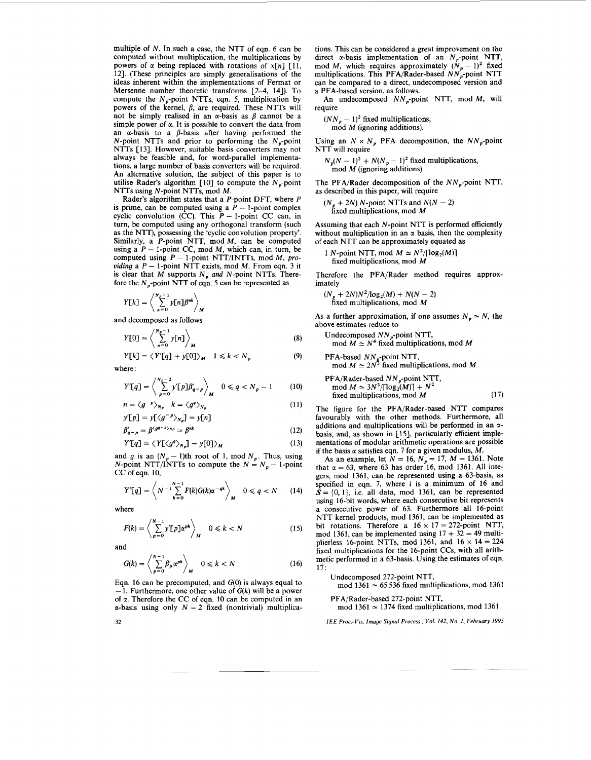multiple of *N.* In such a case, the NTT of eqn. 6 can be computed without multiplication, the multiplications by powers of  $\alpha$  being replaced with rotations of  $x[n]$  [11, 121. (These principles are simply generalisations of the ideas inherent within the implementations of Fermat or Mersenne number theoretic transforms [2-4, 141). To compute the  $N<sub>n</sub>$ -point NTTs, eqn. 5, multiplication by powers of the kernel,  $\beta$ , are required. These NTTs will not be simply realised in an  $\alpha$ -basis as  $\beta$  cannot be a simple power of  $\alpha$ . It is possible to convert the data from an  $\alpha$ -basis to a  $\beta$ -basis after having performed the N-point NTTs and prior to performing the  $N_p$ -point NTTs [13]. However, suitable basis converters may not always be feasible and, for word-parallel implementations, a large number of basis converters will be required. An alternative solution, the subject of this paper is to utilise Rader's algorithm  $\lceil 10 \rceil$  to compute the N<sub>p</sub>-point NTTs using N-point NTTs, mod M.

Rader's algorithm states that a P-point DFT, where P is prime, can be computed using a  $\bar{P}$  - 1-point complex cyclic convolution (CC). This  $P - 1$ -point CC can, in turn, be computed using any orthogonal transform (such as the NTT), possessing the 'cyclic convolution property'. Similarly, a  $P$ -point NTT, mod  $M$ , can be computed Similarly, a *P*-point NTT, mod *M*, can be computed using a *P* – 1-point CC, mod *M*, which can, in turn, be using a  $P - 1$ -point CC, mod M, which can, in turn, be computed using  $P - 1$ -point NTT/INTTs, mod M, procomputed using  $P - 1$ -point NTT/INTTs, mod M, providing a  $P - 1$ -point NTT exists, mod M. From eqn. 3 it is clear that  $M$  supports  $N_p$  and  $N$ -point NTTs. Therefore the  $N_p$ -point NTT of eqn. 5 can be represented as

$$
Y[k] = \left\langle \sum_{n=0}^{N_p-1} y[n] \beta^{nk} \right\rangle_M
$$

and decomposed as follows

$$
Y[0] = \left\langle \sum_{n=0}^{N_{p}-1} y[n] \right\rangle_{M}
$$
\n
$$
Y[k] = \left\langle Y'[q] + y[0] \right\rangle_{M} \quad 1 \le k < N_{n} \tag{9}
$$

$$
Y[k] = \langle Y'[q] + y[0] \rangle_M \quad 1 \leq k < N_p
$$

where :

$$
Y'[q] = \left\langle \sum_{p=0}^{N_p-2} y'[p] \beta'_{q-p} \right\rangle_M \quad 0 \le q < N_p-1 \tag{10}
$$

$$
n = \langle g^{-p} \rangle_{N_p} \quad k = \langle g^q \rangle_{N_p} \tag{11}
$$

$$
y' \lfloor p \rfloor = y \lfloor \langle g^{-p} \rangle_{N_p} = y \lfloor n \rfloor
$$

$$
\beta'_{q-p} = \beta^{(gr-p)_{NP}} = \beta^{nk} \tag{12}
$$

$$
Y'[q] = \langle Y[\langle g^q \rangle_{N_p}] - y[0] \rangle_M \tag{13}
$$

 $\frac{1}{4}$  LH<sub>1</sub> -  $\frac{1}{4}$  L<sub>N</sub><sub>p</sub> -  $\frac{1}{2}$  L<sub>1</sub> -  $\frac{1}{2}$  L<sub>1</sub> - 1)th root of 1, mod  $N_p$ . Thus, using and g is an  $(N_p - 1)$ th root of 1, mod  $N_p$ . Thus, using N-point NTT/INTTs to compute the  $N = N_p - 1$ -point CC of eqn. 10,

$$
Y'[q] = \left\langle N^{-1} \sum_{k=0}^{N-1} F(k) G(k) \alpha^{-qk} \right\rangle_M \quad 0 \leq q < N \qquad (14)
$$

where

$$
F(k) = \left\langle \sum_{p=0}^{N-1} y'[p] \alpha^{pk} \right\rangle_M \quad 0 \le k < N \tag{15}
$$

and  
\n
$$
G(k) = \left\langle \sum_{p=0}^{N-1} \beta'_p \alpha^{pk} \right\rangle_M \quad 0 \le k < N \tag{16}
$$

Eqn. 16 can be precomputed, and  $G(0)$  is always equal to  $-1$ . Furthermore, one other value of  $G(k)$  will be a power of a. Therefore the CC of eqn. 10 can be computed in an  $\alpha$ -basis using only  $N - 2$  fixed (nontrivial) multiplications. This can be considered a great improvement on the direct  $\alpha$ -basis implementation of an  $N_p$ -point NTT, mod *M*, which requires approximately  $(N_p - 1)^2$  fixed multiplications. This PFA/Rader-based  $NN_p$ -point NTT can be compared to a direct, undecomposed version and a PFA-based version, as follows.

An undecomposed  $NN_{n}$ -point NTT, mod M, will require

$$
(NN_p - 1)^2
$$
 fixed multiplications,  
mod M (ignoring additions).

Using an  $N \times N_p$  PFA decomposition, the  $NN_p$ -point NTT will require

 $N_p(N-1)^2 + N(N_p-1)^2$  fixed multiplications,  $\mod M$  (ignoring additions)

The PFA/Rader decomposition of the  $NN<sub>n</sub>$ -point NTT,

as described in this paper, will require 
$$
(N_p + 2N) N
$$
-point NTTs and  $N(N - 2)$  fixed multiplications, mod  $M$ 

Assuming that each N-point NTT is performed eficiently without multiplication in an  $\alpha$  basis, then the complexity of each NTT can be approximately equated as

1 *N*-point NTT, mod  $M \simeq N^2 / \lceil \log_2(M) \rceil$ 

fixed multiplications, mod M

Therefore the PFA/Rader method requires approximately

ately<br>  $(N_p + 2N)N^2/\log_2(M) + N(N - 2)$ <br>
fixed multiplications, mod *M* 

As a further approximation, if one assumes  $N_p \simeq N$ , the above estimates reduce to

Undecomposed  $NN_p$ -point NTT, mod  $M \simeq N^4$  fixed multiplications, mod M

PFA-based NN<sub>p</sub>-point NTT,  
mod 
$$
M \simeq 2N^3
$$
 fixed multiplications, mod M

$$
PFA/Rader-based NNp-point NTT,\nmod M \approx 3N3/[log2(M)] + N2\nfixed multiplications, mod M
$$
\n(17)

The figure for the PFAjRader-based NTT compares favourably with the other methods. Furthermore, all additions and multiplications will be performed in an  $\alpha$ basis, and, as shown in [15], particularly efficient implementations of modular arithmetic operations are possible if the basis  $\alpha$  satisfies eqn. 7 for a given modulus,  $\dot{M}$ .

As an example, let  $N = 16$ ,  $N_p = 17$ ,  $M = 1361$ . Note that  $\alpha = 63$ , where 63 has order 16, mod 1361. All integers, mod 1361, can be represented using a 63-basis, as specified in eqn. 7, where *I* is a minimum of 16 and  $\mathbf{S} = \{0, 1\}$ , i.e. all data, mod 1361, can be represented using 16-bit words, where each consecutive bit represents a consecutive power of 63. Furthermore all 16-point NTT kernel products, mod 1361, can be implemented as bit rotations. Therefore a  $16 \times 17 = 272$ -point NTT, mod 1361, can be implemented using  $17 + 32 = 49$  multiplierless 16-point NTTs, mod 1361, and  $16 \times 14 = 224$ fixed multiplications for the 16-point **CCs,** with all arithmetic performed in a 63-basis. Using the estimates of eqn. 17:

Undecomposed 272-point NTT,

mod  $1361 \approx 65536$  fixed multiplications, mod 1361

PFA/Rader-based 272-point NTT, mod  $1361 \approx 1374$  fixed multiplications, mod 1361

*IEE Proc.-Vis. Image Signal Process., Vol. 142, No. I, February 1995* 

**32**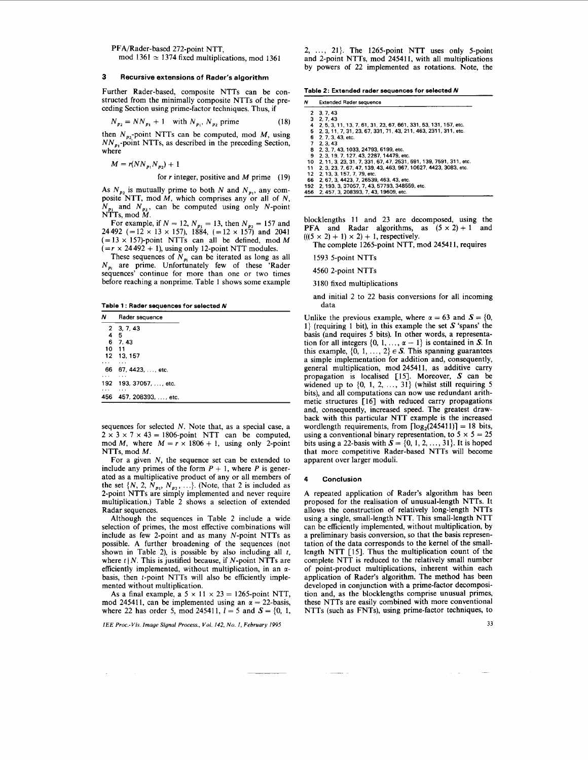PFA/Rader-based 272-point NTT, mod  $1361 \approx 1374$  fixed multiplications, mod 1361

### **3 Recursive extensions of Rader's algorithm**

Further Rader-based, composite NTTs can be constructed from the minimally composite NTTs of the preceding Section using prime-factor techniques. Thus, if

$$
N_{p_2} = NN_{p_1} + 1 \quad \text{with } N_{p_1}, N_{p_2} \text{ prime} \tag{18}
$$

then  $N_{n}$ -point NTTs can be computed, mod  $M$ , using  $NN_{p_1}$ -point NTTs, as described in the preceding Section, where

 $M = r(NN_{p_1}N_{p_2}) + 1$ 

for *r* integer, positive and *M* prime (19)

As  $N_p$ , is mutually prime to both N and  $N_{p_1}$ , any composite NTT, mod *M,* which comprises any or all of *N,*   $N_{p_1}$  and  $N_{p_2}$ , can be computed using only N-point NTTs, mod *M.* 

For example, if  $N = 12$ ,  $N_{p_1} = 13$ , then  $N_{p_2} = 157$  and 24492 (=12 × 13 × 157), 1884, (=12 × 157) and 2041  $(= 13 \times 157)$ -point NTTs can all be defined, mod *M*  $(=r \times 24492 + 1)$ , using only 12-point NTT modules.

These sequences of  $N_{p_i}$  can be iterated as long as all  $N_{p_i}$  are prime. Unfortunately few of these 'Rader sequences' continue for more than one or two times before reaching a nonprime. Table 1 shows some example

**Table 1** : **Radar seauences for selected** *N* 

| Rader sequence          |
|-------------------------|
| 2, 3, 7, 43             |
| -5                      |
| 6 7.43                  |
| 10 11                   |
| 12 13, 157              |
|                         |
| 66 67, 4423, , etc.     |
|                         |
| 192  193, 37057, , etc. |
|                         |
| 457, 208393. etc.       |
|                         |

sequences for selected *N.* Note that, as a special case, a  $2 \times 3 \times 7 \times 43 = 1806$ -point NTT can be computed, mod *M*, where  $M = r \times 1806 + 1$ , using only 2-point NTTs, mod *M.* 

For a given N, the sequence set can be extended to include any primes of the form  $P + 1$ , where  $P$  is generated as a multiplicative product of any or all members of the set  $\{N, 2, N_{p_1}, N_{p_2}, \ldots\}$ . (Note, that 2 is included as 2-point NTTs are simply implemented and never require multiplication.) Table 2 shows a selection of extended Radar sequences.

Although the sequences in Table 2 include a wide selection of primes, the most effective combinations will include as few 2-point and as many N-point NTTs as possible. A further broadening of the sequences (not shown in Table 2), is possible by also including all  $t$ , where  $t \mid N$ . This is justified because, if N-point NTTs are efficiently implemented, without multiplication, in an *a*basis, then t-point NTTs will also be efficiently implemented without multiplication.

As a final example, a  $5 \times 11 \times 23 = 1265$ -point NTT, mod 245411, can be implemented using an  $\alpha = 22$ -basis, where 22 has order 5, mod 245411,  $l = 5$  and  $S = \{0, 1, \ldots\}$ 

*IEE Proc.-Vis. Image Signal Process., Vol. 142, No. I, February 1995* 

2, ..., 21). The 1265-point NTT **uses** only 5-point and 2-point NTTs, mod 245411, with all multiplications by powers of 22 implemented as rotations. Note, the

**Table 2: Extended radar sequences for selected** *N* 

| N   | <b>Extended Rader sequence</b>                                       |
|-----|----------------------------------------------------------------------|
|     | 2 3.7.43                                                             |
|     | 3, 2, 7, 43                                                          |
| 4   | 2.5.3.11.13.7.61.31.23.67.661.331.53.131.157.etc.                    |
|     | 5 2. 3. 11. 7. 31. 23. 67. 331. 71. 43. 211. 463. 2311. 311. etc.    |
|     | 6 2. 7. 3. 43. etc.                                                  |
|     | 7 2 3 4 3                                                            |
|     | 8 2.3.7.43.1033.24793.6199.etc.                                      |
| 9   | 2. 3. 19. 7. 127. 43. 2287. 14479. etc.                              |
|     | 10 2. 11. 3. 23. 31. 7. 331. 67. 47. 2531. 691. 139. 7591. 311. etc. |
| 11  | 2. 3. 23. 7. 67. 47. 139. 43. 463. 967. 10627. 4423. 3083. etc.      |
| 12  | 2.13.3.157.7.79.etc.                                                 |
| 66  | 2.67.3.4423.7.26539.463.43.etc.                                      |
| 102 | 2 102 2 27057 7 12 57702 210550 otc                                  |

**192 456 2, 193, 3, 37057,7.43, 57793. 348559. etc 2. 457. 3, 208393. 7. 43, 19609, etc.** 

blocklengths 11 and 23 are decomposed, using the **PFA** and Radar algorithms, as  $(5 \times 2) + 1$  and  $(((5 \times 2) + 1) \times 2) + 1$ , respectively.

The complete 1265-point NTT, mod 245411, requires

1593 5-point NTTs

4560 2-point NTTs

3180 fixed multiplications

and initial 2 to 22 basis conversions for all incoming data

Unlike the previous example, where  $\alpha = 63$  and  $S = \{0,$ **1)** (requiring **1** bit), in this example the set *S* 'spans' the basis (and requires 5 bits). In other words, a representation for all integers  $\{0, 1, \ldots, \alpha - 1\}$  is contained in *S*. In this example,  $\{0, 1, ..., 2\} \in S$ . This spanning guarantees a simple implementation for addition and, consequently, general multiplication, mod 245411, as additive carry propagation is localised [l5]. Moreover, *S* can be widened up to **(0, 1,** 2, ..., 31) (whilst still requiring *<sup>5</sup>* bits), and all computations can now use redundant arithmetic structures [16] with reduced carry propagations and, consequently, increased speed. The greatest drawback with this particular NTT example is the increased wordlength requirements, from  $\lceil \log_2(245411) \rceil = 18$  bits, using a conventional binary representation, to  $5 \times 5 = 25$ bits using a 22-basis with  $\mathbf{S} = \{0, 1, 2, \ldots, 31\}$ . It is hoped that more competitive Rader-based NTTs will become apparent over larger moduli.

#### **4 Conclusion**

A repeated application of Rader's algorithm has been proposed for the realisation of unusual-length NTTs. It allows the construction of relatively long-length NTTs using a single, small-length NTT. This small-length NTT can be efficiently implemented, without multiplication, by a preliminary basis conversion, so that the basis representation of the data corresponds to the kernel of the smalllength NTT [15]. Thus the multiplication count of the complete NTT is reduced to the relatively small number of point-product multiplications, inherent within each application of Rader's algorithm. The method has been developed in conjunction with a prime-factor decomposition and, as the blocklengths comprise unusual primes, these NTTs are easily combined with more conventional NTTs (such as FNTs), using prime-factor techniques, to

**33**